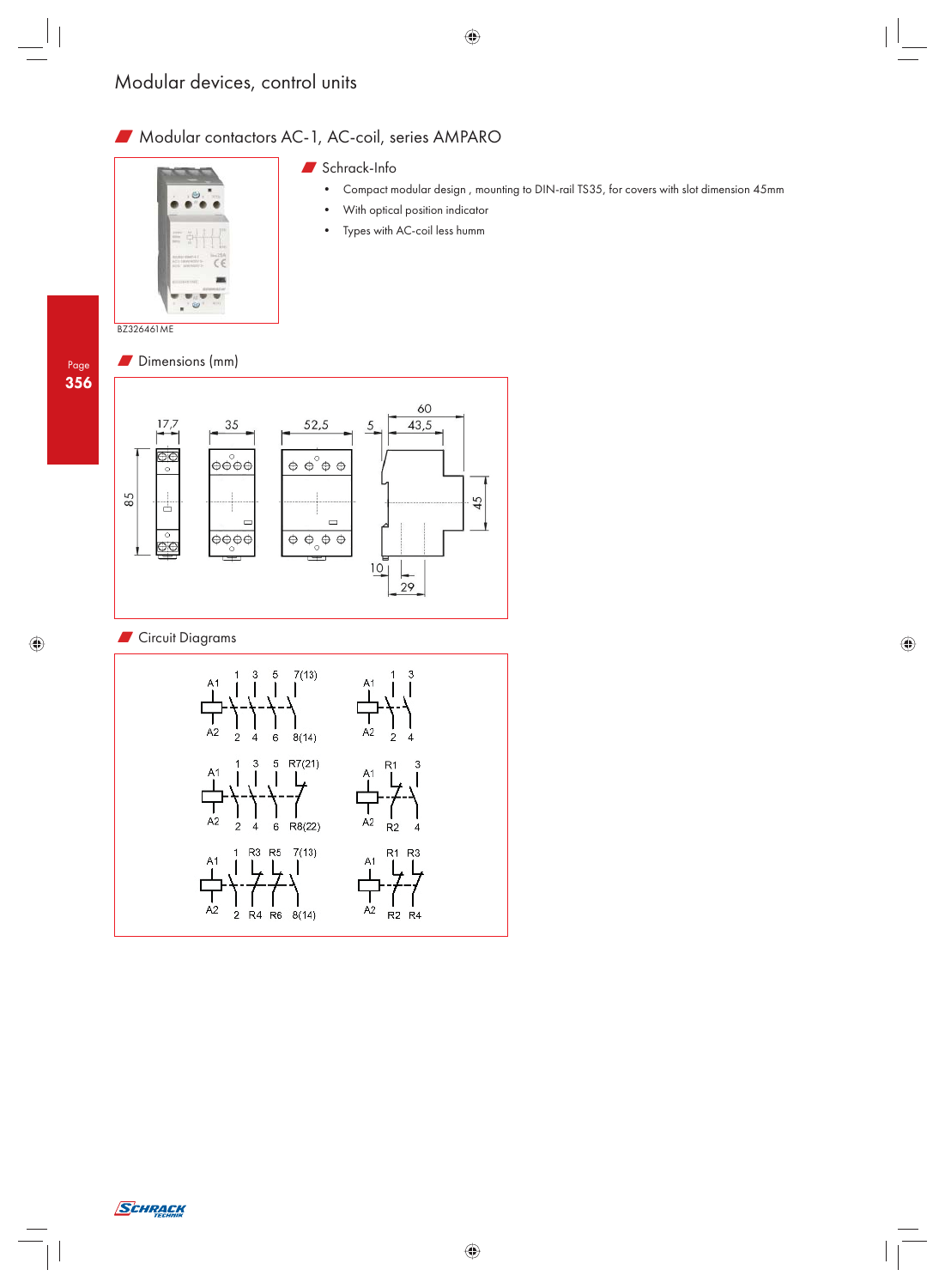## W Modular contactors AC-1, AC-coil, series AMPARO



## $\blacksquare$  Schrack-Info

- Compact modular design , mounting to DIN-rail TS35, for covers with slot dimension 45mm
- With optical position indicator
- Types with AC-coil less humm

BZ326461ME





## **N** Circuit Diagrams



Ĭ